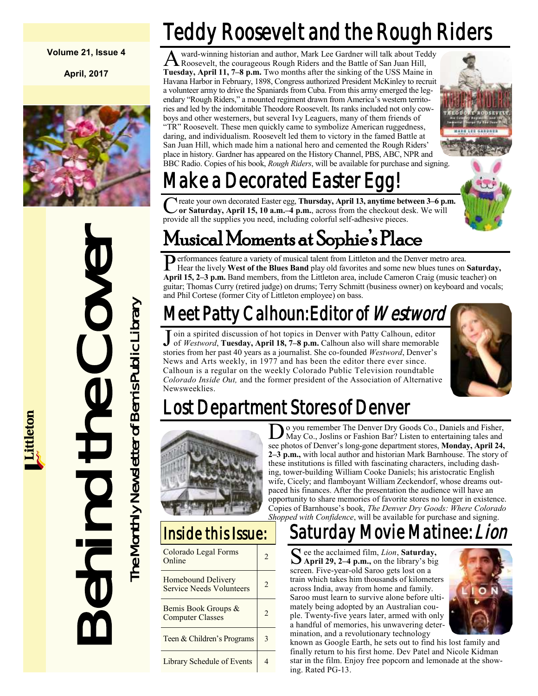#### **Volume 21, Issue 4**

**April, 2017**



Behind the Cover The Monthly Newsletter of Bemis Public Library The Monthly Newsletter of Bemis Public Library

## Teddy Roosevelt and the Rough Riders

A ward-winning historian and author, Mark Lee Gardner will talk about Teddy<br>Roosevelt, the courageous Rough Riders and the Battle of San Juan Hill,<br>Tuesday, April 11, 7–8 p.m. Two months after the sinking of the USS Maine ward-winning historian and author, Mark Lee Gardner will talk about Teddy Roosevelt, the courageous Rough Riders and the Battle of San Juan Hill, Havana Harbor in February, 1898, Congress authorized President McKinley to recruit a volunteer army to drive the Spaniards from Cuba. From this army emerged the legendary "Rough Riders," a mounted regiment drawn from America's western territories and led by the indomitable Theodore Roosevelt. Its ranks included not only cowboys and other westerners, but several Ivy Leaguers, many of them friends of "TR" Roosevelt. These men quickly came to symbolize American ruggedness, daring, and individualism. Roosevelt led them to victory in the famed Battle at San Juan Hill, which made him a national hero and cemented the Rough Riders' place in history. Gardner has appeared on the History Channel, PBS, ABC, NPR and BBC Radio. Copies of his book, *Rough Riders*, will be available for purchase and signing.



## Make a Decorated Easter Eq

C reate your own decorated Easter egg, Thursday, April 13, anytime bet<br>
or Saturday, April 15, 10 a.m.–4 p.m., across from the checkout de<br>
provide all the supplies you need, including colorful self-adhesive pieces. reate your own decorated Easter egg, **Thursday, April 13, anytime between 3–6 p.m. or Saturday, April 15, 10 a.m.–4 p.m.**, across from the checkout desk. We will

## Musical Moments at Sophie's Place

Performances feature a variety of musical talent from Littleton and the Denver metro area.<br>Hear the lively West of the Blues Band play old favorites and some new blues tunes on Hear the lively **West of the Blues Band** play old favorites and some new blues tunes on **Saturday, April 15, 2–3 p.m.** Band members, from the Littleton area, include Cameron Craig (music teacher) on guitar; Thomas Curry (retired judge) on drums; Terry Schmitt (business owner) on keyboard and vocals; and Phil Cortese (former City of Littleton employee) on bass.

### Meet Patty Calhoun: Editor of *Westword*

J oin a spirited discussion of hot topics in Denver with Patty Calhoun, editor of Westword, Tuesday, April 18, 7–8 p.m. Calhoun also will share memorable of *Westword*, **Tuesday, April 18, 7–8 p.m.** Calhoun also will share memorable stories from her past 40 years as a journalist. She co-founded *Westword*, Denver's News and Arts weekly, in 1977 and has been the editor there ever since. Calhoun is a regular on the weekly Colorado Public Television roundtable *Colorado Inside Out,* and the former president of the Association of Alternative Newsweeklies.



## Lost Department Stores of Denver



### Inside this Issue:

| Colorado Legal Forms<br>Online                        |  |
|-------------------------------------------------------|--|
| Homebound Delivery<br><b>Service Needs Volunteers</b> |  |
| Bemis Book Groups &<br><b>Computer Classes</b>        |  |
| Teen & Children's Programs                            |  |
| <b>Library Schedule of Events</b>                     |  |

 $\overline{\textbf{D}}$ o you remember The Denver Dry Goods Co., Daniels and Fisher, May Co., Joslins or Fashion Bar? Listen to entertaining tales and see photos of Denver's long-gone department stores, **Monday, April 24, 2–3 p.m.,** with local author and historian Mark Barnhouse. The story of these institutions is filled with fascinating characters, including dashing, tower-building William Cooke Daniels; his aristocratic English wife, Cicely; and flamboyant William Zeckendorf, whose dreams outpaced his finances. After the presentation the audience will have an opportunity to share memories of favorite stores no longer in existence. Copies of Barnhouse's book, *The Denver Dry Goods: Where Colorado Shopped with Confidence*, will be available for purchase and signing.

### Saturday Movie Matinee:

S ee the acclaimed film, *Lion*, **Saturday**,<br>April 29, 2–4 p.m., on the library's big ee the acclaimed film, *Lion*, **Saturday,**  screen. Five-year-old Saroo gets lost on a train which takes him thousands of kilometers across India, away from home and family. Saroo must learn to survive alone before ultimately being adopted by an Australian couple. Twenty-five years later, armed with only a handful of memories, his unwavering determination, and a revolutionary technology



known as Google Earth, he sets out to find his lost family and finally return to his first home. Dev Patel and Nicole Kidman star in the film. Enjoy free popcorn and lemonade at the showing. Rated PG-13.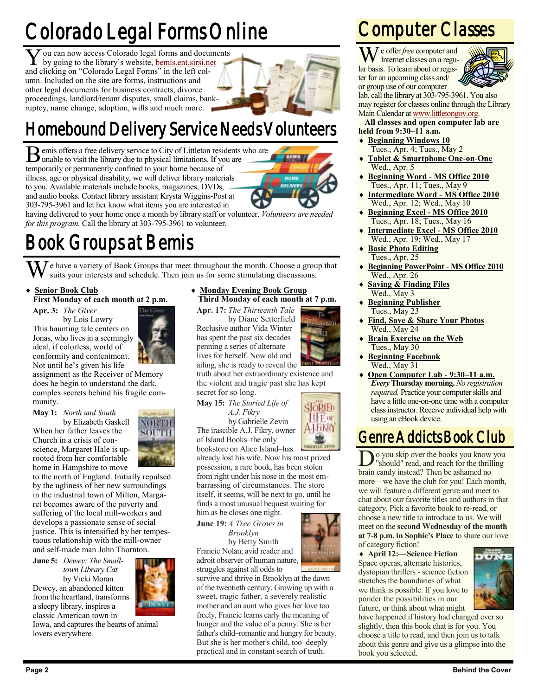## **Y** ou can now access Colorado legal forms and docu by going to the library's website, **<u>bemis.ent.sirsi.ne</u>** and clicking on "Colorado Legal Forms" in the left col-Colorado Legal Forms Online

by going to the library's website, [bemis.ent.sirsi.net](http://bemis.ent.sirsi.net/client/en_US/default/?)

umn. Included on the site are forms, instructions and other legal documents for business contracts, divorce proceedings, landlord/tenant disputes, small claims, bankruptcy, name change, adoption, wills and much more.



### Homebound Delivery Service Needs Volunteers

B emis offers a free delivery service to City of Littleton residents with a unable to visit the library due to physical limitations. If you are emis offers a free delivery service to City of Littleton residents who are temporarily or permanently confined to your home because of illness, age or physical disability, we will deliver library materials to you. Available materials include books, magazines, DVDs, and audio books. Contact library assistant Krysta Wiggins-Post at 303-795-3961 and let her know what items you are interested in



Ku

**SloRiFb IIE** of

**A-LEKRY** 

having delivered to your home once a month by library staff or volunteer. *Volunteers are needed for this program.* Call the library at 303-795-3961 to volunteer.

### Book Groups at Bemis

 $\overline{U}$  e have a variety of Book Groups that meet throughout the month. Choose a group that suits your interests and schedule. Then join us for some stimulating discussions.

### **Senior Book Club**

### **First Monday of each month at 2 p.m.**

**Apr. 3:** *The Giver* by Lois Lowry This haunting tale centers on Jonas, who lives in a seemingly ideal, if colorless, world of conformity and contentment. Not until he's given his life



**May 1:** *North and South*

by Elizabeth Gaskell When her father leaves the Church in a crisis of conscience, Margaret Hale is uprooted from her comfortable home in Hampshire to move



#### **Monday Evening Book Group Third Monday of each month at 7 p.m.**

**Apr. 17:** *The Thirteenth Tale* by Diane Setterfield Reclusive author Vida Winter has spent the past six decades penning a series of alternate lives for herself. Now old and

ailing, she is ready to reveal the truth about her extraordinary existence and the violent and tragic past she has kept secret for so long.

*A.J. Fikry* by Gabrielle Zevin The irascible A.J. Fikry, owner of Island Books–the only

bookstore on Alice Island–has already lost his wife. Now his most prized possession, a rare book, has been stolen from right under his nose in the most embarrassing of circumstances. The store itself, it seems, will be next to go, until he finds a most unusual bequest waiting for him as he closes one night.

**June 19:***A Tree Grows in Brooklyn*

by Betty Smith Francie Nolan, avid reader and adroit observer of human nature, struggles against all odds to

survive and thrive in Brooklyn at the dawn of the twentieth century. Growing up with a sweet, tragic father, a severely realistic mother and an aunt who gives her love too freely, Francie learns early the meaning of hunger and the value of a penny. She is her father's child–romantic and hungry for beauty. But she is her mother's child, too–deeply practical and in constant search of truth.

### Computer Classes

We offer *free* computer and Internet classes on a regular basis. To learn about or register for an upcoming class and/ or group use of our computer



lab, call the library at 303-795-3961. You also may register for classes online through the Library Main Calendar at [www.littletongov.org.](http://www.littletongov.org/city-services/city-departments/bemis-library/library-events-calendar/-curm-3/-cury-2017)

#### **All classes and open computer lab are held from 9:30–11 a.m.**

- **Beginning Windows 10** Tues., Apr. 4; Tues., May 2
- **Tablet & Smartphone One-on-One** Wed., Apr. 5
- **Beginning Word - MS Office 2010** Tues., Apr. 11; Tues., May 9
- **Intermediate Word - MS Office 2010** Wed., Apr. 12; Wed., May 10
- **Beginning Excel - MS Office 2010** Tues., Apr. 18; Tues., May 16
- **Intermediate Excel - MS Office 2010** Wed., Apr. 19; Wed., May 17
- **Basic Photo Editing** Tues., Apr. 25
- **Beginning PowerPoint - MS Office 2010** Wed., Apr. 26
- **Saving & Finding Files** Wed., May 3
- **Beginning Publisher** Tues., May 23
- **Find, Save & Share Your Photos** Wed., May 24
- **Brain Exercise on the Web** Tues., May 30
- **Beginning Facebook** Wed., May 31
- **Open Computer Lab - 9:30–11 a.m.** *Every* **Thursday morning.** *No registration required.* Practice your computer skills and have a little one-on-one time with a computer class instructor. Receive individual help with using an eBook device.

### Genre Addicts Book Club

Do you skip over the books you know<br>"should" read, and reach for the thrill<br>brain candy instead? Then be ashamed no o you skip over the books you know you "should" read, and reach for the thrilling more—we have the club for you! Each month, we will feature a different genre and meet to chat about our favorite titles and authors in that category. Pick a favorite book to re-read, or choose a new title to introduce to us. We will meet on the **second Wednesday of the month at 7-8 p.m. in Sophie's Place** to share our love of category fiction!

 **April 12:—Science Fiction** Space operas, alternate histories, dystopian thrillers - science fiction stretches the boundaries of what we think is possible. If you love to ponder the possibilities in our future, or think about what might



have happened if history had changed ever so slightly, then this book chat is for you. You choose a title to read, and then join us to talk about this genre and give us a glimpse into the book you selected.



to the north of England. Initially repulsed by the ugliness of her new surroundings in the industrial town of Milton, Margaret becomes aware of the poverty and suffering of the local mill-workers and develops a passionate sense of social justice. This is intensified by her tempestuous relationship with the mill-owner and self-made man John Thornton.

**June 5:** *Dewey: The Smalltown Library Cat* by Vicki Moran Dewey, an abandoned kitten from the heartland, transforms a sleepy library, inspires a classic American town in

Iowa, and captures the hearts of animal





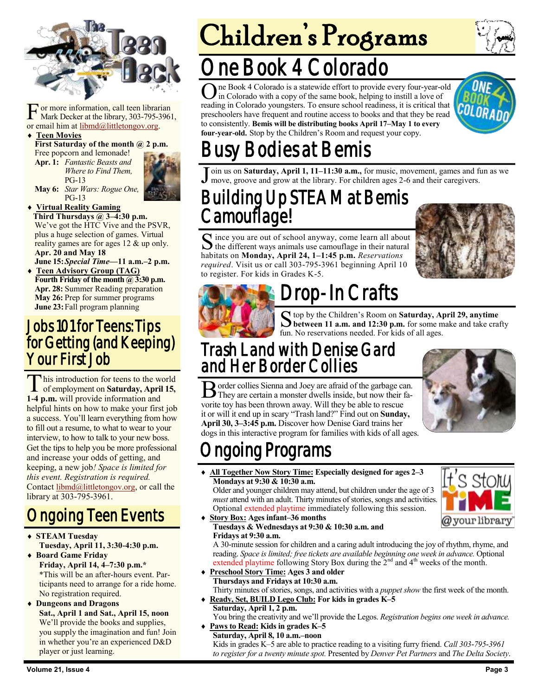

F or more information, call teen librar<br>Mark Decker at the library, 303-795-3<br>or email him at [libmd@littletongov.org.](mailto:libmd@littletongov.org) or more information, call teen librarian Mark Decker at the library, 303-795-3961,

#### **Teen Movies**

**First Saturday of the month @ 2 p.m.** 

Free popcorn and lemonade! **Apr. 1:** *Fantastic Beasts and Where to Find Them,* PG-13



**May 6:** *Star Wars: Rogue One,* PG-13

 **Virtual Reality Gaming Third Thursdays @ 3–4:30 p.m.** We've got the HTC Vive and the PSVR, plus a huge selection of games. Virtual reality games are for ages 12 & up only. **Apr. 20 and May 18**

**June 15:***Special Time—***11 a.m.–2 p.m. Teen Advisory Group (TAG) Fourth Friday of the month @ 3:30 p.m. Apr. 28:** Summer Reading preparation **May 26:** Prep for summer programs

**June 23:**Fall program planning

### Jobs 101 for Teens: Tips for Getting (and Keeping) Your First Job

This introduction for teens to the world<br>of employment on **Saturday**, April 15, his introduction for teens to the world **1-4 p.m.** will provide information and helpful hints on how to make your first job a success. You'll learn everything from how to fill out a resume, to what to wear to your interview, to how to talk to your new boss. Get the tips to help you be more professional and increase your odds of getting, and keeping, a new job*! Space is limited for this event. Registration is required.* Contact [libmd@littletongov.org](mailto:libmd@littletongov.org), or call the library at 303-795-3961.

### Ongoing Teen Events

- **STEAM Tuesday Tuesday, April 11, 3:30-4:30 p.m.**
- **Board Game Friday Friday, April 14, 4–7:30 p.m.\*** \*This will be an after-hours event. Participants need to arrange for a ride home. No registration required.
- **Dungeons and Dragons Sat., April 1 and Sat., April 15, noon** We'll provide the books and supplies, you supply the imagination and fun! Join in whether you're an experienced D&D player or just learning.

# Children's Programs

## ne Book 4 Colorado

One Book 4 Colorado is a statewide effort to provide every four-year-old<br>in Colorado with a copy of the same book, helping to instill a love of in Colorado with a copy of the same book, helping to instill a love of reading in Colorado youngsters. To ensure school readiness, it is critical that preschoolers have frequent and routine access to books and that they be read to consistently. **Bemis will be distributing books April 17–May 1 to every four-year-old.** Stop by the Children's Room and request your copy.



## Busy Bodies at Bemis

Join us on Saturday, April 1, 11–11:30 a.m., for music, movement, games and f move, groove and grow at the library. For children ages 2-6 and their caregivers. oin us on **Saturday, April 1, 11–11:30 a.m.,** for music, movement, games and fun as we

### Building Up STEAM at Bemis Camouflage!

S ince you are out of school anyway, come learn all about<br>the different ways animals use camouflage in their natural the different ways animals use camouflage in their natural habitats on **Monday, April 24, 1–1:45 p.m.** *Reservations required*. Visit us or call 303-795-3961 beginning April 10 to register. For kids in Grades K-5.





## rop-In Crafts

S top by the Children's Room on **Saturday, April 29, anytime**<br>between 11 a.m. and 12:30 p.m. for some make and take crafty top by the Children's Room on **Saturday, April 29, anytime**  fun. No reservations needed. For kids of all ages.

### Trash Land with Denise Gard and Her Border Collies

B order collies Sienna and Joey are afraid of the garbage can.<br>They are certain a monster dwells inside, but now their fa-They are certain a monster dwells inside, but now their favorite toy has been thrown away. Will they be able to rescue it or will it end up in scary "Trash land?" Find out on **Sunday, April 30, 3–3:45 p.m.** Discover how Denise Gard trains her dogs in this interactive program for families with kids of all ages.



## ngoing Programs

 **All Together Now Story Time: Especially designed for ages 2–3 Mondays at 9:30 & 10:30 a.m.**

Older and younger children may attend, but children under the age of 3 *must* attend with an adult. Thirty minutes of stories, songs and activities. Optional extended playtime immediately following this session.

 **Story Box: Ages infant–36 months Tuesdays & Wednesdays at 9:30 & 10:30 a.m. and Fridays at 9:30 a.m.**

A 30-minute session for children and a caring adult introducing the joy of rhythm, rhyme, and reading. *Space is limited; free tickets are available beginning one week in advance.* Optional extended playtime following Story Box during the 2<sup>nd</sup> and 4<sup>th</sup> weeks of the month.

- **Preschool Story Time: Ages 3 and older Thursdays and Fridays at 10:30 a.m.** Thirty minutes of stories, songs, and activities with a *puppet show* the first week of the month.
- **Ready, Set, BUILD Lego Club: For kids in grades K–5 Saturday, April 1, 2 p.m.**

You bring the creativity and we'll provide the Legos. *Registration begins one week in advance.*

 **Paws to Read: Kids in grades K–5 Saturday, April 8, 10 a.m.–noon** Kids in grades K–5 are able to practice reading to a visiting furry friend. *Call 303-795-3961 to register for a twenty minute spot.* Presented by *Denver Pet Partners* and *The Delta Society*.